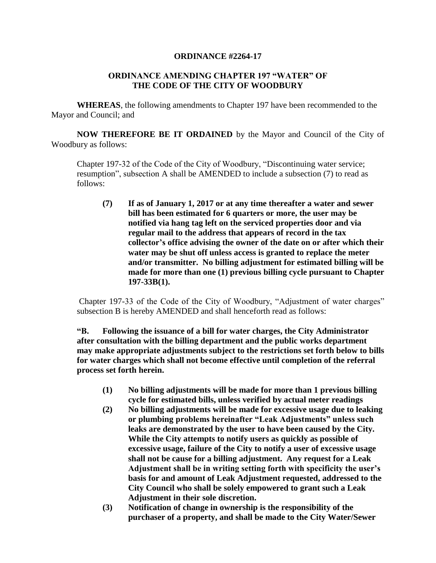## **ORDINANCE #2264-17**

## **ORDINANCE AMENDING CHAPTER 197 "WATER" OF THE CODE OF THE CITY OF WOODBURY**

**WHEREAS**, the following amendments to Chapter 197 have been recommended to the Mayor and Council; and

**NOW THEREFORE BE IT ORDAINED** by the Mayor and Council of the City of Woodbury as follows:

Chapter 197-32 of the Code of the City of Woodbury, "Discontinuing water service; resumption", subsection A shall be AMENDED to include a subsection (7) to read as follows:

**(7) If as of January 1, 2017 or at any time thereafter a water and sewer bill has been estimated for 6 quarters or more, the user may be notified via hang tag left on the serviced properties door and via regular mail to the address that appears of record in the tax collector's office advising the owner of the date on or after which their water may be shut off unless access is granted to replace the meter and/or transmitter. No billing adjustment for estimated billing will be made for more than one (1) previous billing cycle pursuant to Chapter 197-33B(1).**

Chapter 197-33 of the Code of the City of Woodbury, "Adjustment of water charges" subsection B is hereby AMENDED and shall henceforth read as follows:

**"B. Following the issuance of a bill for water charges, the City Administrator after consultation with the billing department and the public works department may make appropriate adjustments subject to the restrictions set forth below to bills for water charges which shall not become effective until completion of the referral process set forth herein.**

- **(1) No billing adjustments will be made for more than 1 previous billing cycle for estimated bills, unless verified by actual meter readings**
- **(2) No billing adjustments will be made for excessive usage due to leaking or plumbing problems hereinafter "Leak Adjustments" unless such leaks are demonstrated by the user to have been caused by the City. While the City attempts to notify users as quickly as possible of excessive usage, failure of the City to notify a user of excessive usage shall not be cause for a billing adjustment. Any request for a Leak Adjustment shall be in writing setting forth with specificity the user's basis for and amount of Leak Adjustment requested, addressed to the City Council who shall be solely empowered to grant such a Leak Adjustment in their sole discretion.**
- **(3) Notification of change in ownership is the responsibility of the purchaser of a property, and shall be made to the City Water/Sewer**